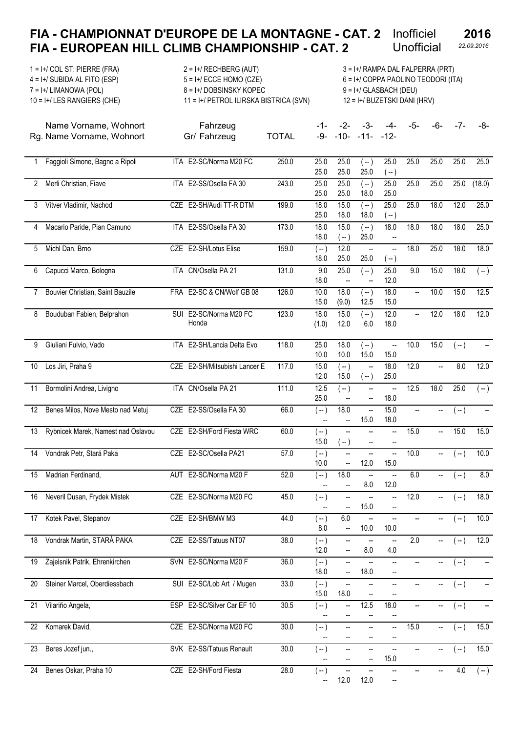#### FIA - CHAMPIONNAT D'EUROPE DE LA MONTAGNE - CAT. 2 Inofficiel FIA - EUROPEAN HILL CLIMB CHAMPIONSHIP - CAT. 2 Unofficial 22.09.2016 2016 Unofficial

1 = I+/ COL ST: PIERRE (FRA) 2 = I+/ RECHBERG (AUT) 3 = I+/ RAMPA DAL FALPERRA (PRT) 4 = I+/ SUBIDA AL FITO (ESP) 5 = I+/ ECCE HOMO (CZE) 6 = I+/ COPPA PAOLINO TEODORI (ITA) 7 = I+/ LIMANOWA (POL) 8 = I+/ DOBSINSKY KOPEC 9 = I+/ GLASBACH (DEU) 10 = I+/ LES RANGIERS (CHE) 11 = I+/ PETROL ILIRSKA BISTRICA (SVN) 12 = I+/ BUZETSKI DANI (HRV)

Fahrzeug

Name Vorname, Wohnort Rg. Name Vorname, Wohnort Gr/ Fahrzeug TOTAL

-1- -2- -3- -4- -5- -6- -7- -8- -9- -10- -11- -12-

| 1  | Faggioli Simone, Bagno a Ripoli    |            | ITA E2-SC/Norma M20 FC        | 250.0 | 25.0<br>25.0      | 25.0<br>25.0                      | ( -- )<br>25.0                    | 25.0<br>$(-)$                    | 25.0      | 25.0 | 25.0             | 25.0   |
|----|------------------------------------|------------|-------------------------------|-------|-------------------|-----------------------------------|-----------------------------------|----------------------------------|-----------|------|------------------|--------|
| 2  | Merli Christian, Fiave             | <b>ITA</b> | E2-SS/Osella FA 30            | 243.0 | 25.0<br>25.0      | 25.0<br>25.0                      | $(-)$<br>18.0                     | 25.0<br>25.0                     | 25.0      | 25.0 | 25.0             | (18.0) |
| 3  | Vitver Vladimir, Nachod            |            | CZE E2-SH/Audi TT-R DTM       | 199.0 | 18.0<br>25.0      | 15.0<br>18.0                      | $(-)$<br>18.0                     | 25.0<br>$(-)$                    | 25.0      | 18.0 | 12.0             | 25.0   |
| 4  | Macario Paride, Pian Camuno        |            | ITA E2-SS/Osella FA 30        | 173.0 | 18.0<br>18.0      | 15.0<br>$(-)$                     | $(-)$<br>25.0                     | 18.0<br>--                       | 18.0      | 18.0 | 18.0             | 25.0   |
| 5  | Michl Dan, Brno                    |            | CZE E2-SH/Lotus Elise         | 159.0 | $(-)$<br>18.0     | 12.0<br>25.0                      | $\overline{\phantom{a}}$<br>25.0  | --<br>$(-)$                      | 18.0      | 25.0 | 18.0             | 18.0   |
| 6  | Capucci Marco, Bologna             |            | ITA CN/Osella PA 21           | 131.0 | 9.0<br>18.0       | 25.0<br>--                        | $(-)$<br>$\overline{\phantom{a}}$ | 25.0<br>12.0                     | 9.0       | 15.0 | 18.0             | $(-)$  |
| 7  | Bouvier Christian, Saint Bauzile   |            | FRA E2-SC & CN/Wolf GB 08     | 126.0 | 10.0<br>15.0      | 18.0<br>(9.0)                     | $(-)$<br>12.5                     | 18.0<br>15.0                     | $\ddotsc$ | 10.0 | 15.0             | 12.5   |
| 8  | Bouduban Fabien, Belprahon         | <b>SUI</b> | E2-SC/Norma M20 FC<br>Honda   | 123.0 | 18.0<br>(1.0)     | 15.0<br>12.0                      | $(-)$<br>6.0                      | 12.0<br>18.0                     | ÷.        | 12.0 | 18.0             | 12.0   |
| 9  | Giuliani Fulvio, Vado              | <b>ITA</b> | E2-SH/Lancia Delta Evo        | 118.0 | 25.0<br>10.0      | 18.0<br>10.0                      | ( -- )<br>15.0                    | $\overline{\phantom{a}}$<br>15.0 | 10.0      | 15.0 | $(-)$            | --     |
| 10 | Los Jiri, Praha 9                  |            | CZE E2-SH/Mitsubishi Lancer E | 117.0 | 15.0<br>12.0      | $(-)$<br>15.0                     | $\overline{a}$<br>$(-)$           | 18.0<br>25.0                     | 12.0      | Ξ.   | $\overline{8.0}$ | 12.0   |
| 11 | Bormolini Andrea, Livigno          |            | ITA CN/Osella PA 21           | 111.0 | 12.5<br>25.0      | $(-)$<br>$\overline{\phantom{a}}$ | $\overline{\phantom{a}}$<br>--    | $\overline{\phantom{a}}$<br>18.0 | 12.5      | 18.0 | 25.0             | $(-)$  |
| 12 | Benes Milos, Nove Mesto nad Metuj  |            | CZE E2-SS/Osella FA 30        | 66.0  | $(-)$             | 18.0<br>$\overline{\phantom{a}}$  | $\overline{\phantom{a}}$<br>15.0  | 15.0<br>18.0                     |           |      | ( -- )           |        |
| 13 | Rybnicek Marek, Namest nad Oslavou |            | CZE E2-SH/Ford Fiesta WRC     | 60.0  | $(-)$<br>15.0     | --<br>$(-)$                       | $\overline{\phantom{a}}$<br>--    | --                               | 15.0      | Щ,   | 15.0             | 15.0   |
| 14 | Vondrak Petr, Stará Paka           |            | CZE E2-SC/Osella PA21         | 57.0  | $(-)$<br>10.0     | $\overline{\phantom{a}}$<br>--    | $\overline{\phantom{a}}$<br>12.0  | --<br>15.0                       | 10.0      | --   | $(-)$            | 10.0   |
| 15 | Madrian Ferdinand,                 | AUT        | E2-SC/Norma M20 F             | 52.0  | ( -- )<br>--      | 18.0<br>--                        | $\overline{\phantom{a}}$<br>8.0   | --<br>12.0                       | 6.0       | --   | $(-)$            | 8.0    |
| 16 | Neveril Dusan, Frydek Mistek       |            | CZE E2-SC/Norma M20 FC        | 45.0  | $(-)$<br>--       | --<br>--                          | ÷.<br>15.0                        | --<br>-−                         | 12.0      | --   | ( -- )           | 18.0   |
| 17 | Kotek Pavel, Stepanov              |            | CZE E2-SH/BMW M3              | 44.0  | $(-)$<br>8.0      | 6.0<br>$\overline{\phantom{a}}$   | 10.0                              | Щ,<br>10.0                       |           |      | $(-)$            | 10.0   |
| 18 | Vondrak Martin, STARÁ PAKA         |            | CZE E2-SS/Tatuus NT07         | 38.0  | 〔-- 〕<br>12.0     | $\qquad \qquad -$                 | $\overline{\phantom{a}}$<br>8.0   | --<br>$4.0$                      | 2.0       |      | (--)             | 12.0   |
| 19 | Zajelsnik Patrik, Ehrenkirchen     |            | SVN E2-SC/Norma M20 F         | 36.0  | ( -- )<br>18.0    | --<br>--                          | --<br>18.0                        | --<br>--                         |           |      | ( -- )           | --     |
| 20 | Steiner Marcel, Oberdiessbach      |            | SUI E2-SC/Lob Art / Mugen     | 33.0  | $(-)$<br>15.0     | --<br>18.0                        | --<br>--                          | --                               |           | --   | $(-)$            | --     |
| 21 | Vilariño Angela,                   |            | ESP E2-SC/Silver Car EF 10    | 30.5  | $(-)$<br>--       | --<br>$\overline{\phantom{a}}$    | 12.5<br>--                        | 18.0<br>--                       | --        | --   | $(-)$            | --     |
| 22 | Komarek David,                     |            | CZE E2-SC/Norma M20 FC        | 30.0  | $(-)$             | $\overline{\phantom{a}}$<br>--    | --                                | <br>--                           | 15.0      | --   | $(-)$            | 15.0   |
| 23 | Beres Jozef jun.,                  |            | SVK E2-SS/Tatuus Renault      | 30.0  | $(-)$             | $\qquad \qquad -$<br>--           | $\qquad \qquad -$<br>--           | Щ,<br>15.0                       |           |      | $(-)$            | 15.0   |
| 24 | Benes Oskar, Praha 10              |            | CZE E2-SH/Ford Fiesta         | 28.0  | $\left( -\right)$ | --                                |                                   | --                               |           |      | 4.0              | ( -- ) |

-- 12.0 12.0 --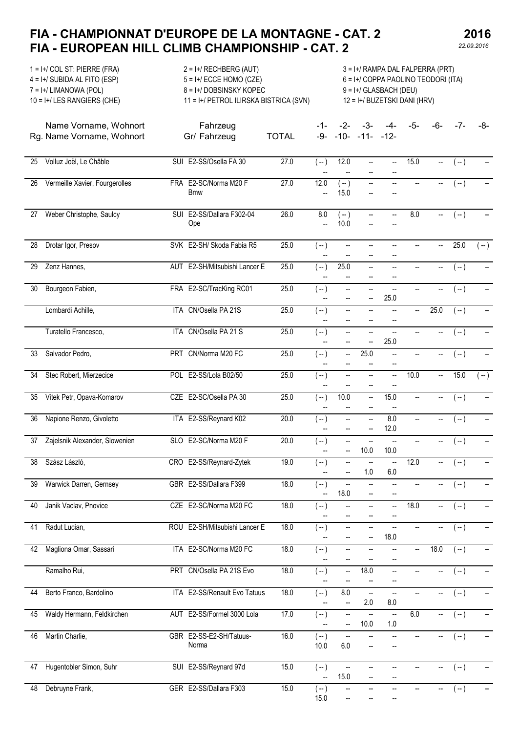2016

| $1 = I + / COL ST$ : PIERRE (FRA)<br>$2 = I + /$ RECHBERG (AUT)<br>$4 = I + /$ SUBIDA AL FITO (ESP)<br>$5 = I + /$ ECCE HOMO (CZE)<br>8 = I+/DOBSINSKY KOPEC<br>$7 = I + / LIMANOWA (POL)$<br>$10 = I + /$ LES RANGIERS (CHE)<br>11 = I+/ PETROL ILIRSKA BISTRICA (SVN) |                                                    |            |                                     |              |                                   |                         | 3 = I+/ RAMPA DAL FALPERRA (PRT)<br>6 = I+/ COPPA PAOLINO TEODORI (ITA)<br>$9 = I + / GLASBACH (DEU)$<br>12 = I+/ BUZETSKI DANI (HRV) |                                  |      |      |        |       |  |  |  |  |
|-------------------------------------------------------------------------------------------------------------------------------------------------------------------------------------------------------------------------------------------------------------------------|----------------------------------------------------|------------|-------------------------------------|--------------|-----------------------------------|-------------------------|---------------------------------------------------------------------------------------------------------------------------------------|----------------------------------|------|------|--------|-------|--|--|--|--|
|                                                                                                                                                                                                                                                                         | Name Vorname, Wohnort<br>Rg. Name Vorname, Wohnort |            | Fahrzeug<br>Gr/ Fahrzeug            | <b>TOTAL</b> | -1-<br>-9-                        | -2-<br>$-10-$           | -3-<br>$-11 - -12$                                                                                                                    | -4-                              | -5-  | -6-  | -7-    | -8-   |  |  |  |  |
| 25                                                                                                                                                                                                                                                                      | Volluz Joël, Le Châble                             |            | SUI E2-SS/Osella FA 30              | 27.0         | $(-)$                             | 12.0                    | $\overline{\phantom{a}}$                                                                                                              | $\overline{\phantom{a}}$         | 15.0 |      | $(-)$  |       |  |  |  |  |
| 26                                                                                                                                                                                                                                                                      | Vermeille Xavier, Fourgerolles                     |            | FRA E2-SC/Norma M20 F<br><b>Bmw</b> | 27.0         | 12.0<br>Щ,                        | $(-)$<br>15.0           | $\overline{\phantom{a}}$                                                                                                              | --                               |      |      | $(-)$  |       |  |  |  |  |
| 27                                                                                                                                                                                                                                                                      | Weber Christophe, Saulcy                           |            | SUI E2-SS/Dallara F302-04<br>Ope    | 26.0         | 8.0<br>$\overline{a}$             | $(-)$<br>10.0           | $\overline{\phantom{a}}$                                                                                                              | Щ.                               | 8.0  |      | $(-)$  |       |  |  |  |  |
| 28                                                                                                                                                                                                                                                                      | Drotar Igor, Presov                                |            | SVK E2-SH/ Skoda Fabia R5           | 25.0         | $(-)$                             | --                      |                                                                                                                                       | $\overline{\phantom{a}}$         |      |      | 25.0   | $(-)$ |  |  |  |  |
| 29                                                                                                                                                                                                                                                                      | Zenz Hannes,                                       |            | AUT E2-SH/Mitsubishi Lancer E       | 25.0         | $(-)$                             | 25.0                    | $\overline{\phantom{a}}$                                                                                                              | $\overline{\phantom{a}}$         | --   |      | $(-)$  |       |  |  |  |  |
| 30                                                                                                                                                                                                                                                                      | Bourgeon Fabien,                                   |            | FRA E2-SC/TracKing RC01             | 25.0         | $(-)$<br>--                       | --<br>$\qquad \qquad -$ | $\qquad \qquad -$<br>--                                                                                                               | 25.0                             | --   |      | $(-)$  |       |  |  |  |  |
|                                                                                                                                                                                                                                                                         | Lombardi Achille,                                  |            | ITA CN/Osella PA 21S                | 25.0         | $(-)$<br>--                       | --<br>--                | $\qquad \qquad \cdots$                                                                                                                | --                               | --   | 25.0 | $(-)$  |       |  |  |  |  |
|                                                                                                                                                                                                                                                                         | Turatello Francesco,                               |            | ITA CN/Osella PA 21 S               | 25.0         | $(-)$<br>$\overline{\phantom{a}}$ | -−<br>--                | $\overline{\phantom{0}}$<br>$\overline{\phantom{a}}$                                                                                  | Щ,<br>25.0                       | --   |      | $(-)$  |       |  |  |  |  |
| 33                                                                                                                                                                                                                                                                      | Salvador Pedro,                                    |            | PRT CN/Norma M20 FC                 | 25.0         | $(-)$<br>Щ,                       | --<br>Щ,                | 25.0<br>Ξ.                                                                                                                            | --<br>$\overline{\phantom{a}}$   |      |      | $(-)$  |       |  |  |  |  |
| 34                                                                                                                                                                                                                                                                      | Stec Robert, Mierzecice                            |            | POL E2-SS/Lola B02/50               | 25.0         | $(-)$                             | --                      | $\overline{\phantom{a}}$                                                                                                              | $\overline{a}$<br>--             | 10.0 |      | 15.0   | $(-)$ |  |  |  |  |
| 35                                                                                                                                                                                                                                                                      | Vitek Petr, Opava-Komarov                          |            | CZE E2-SC/Osella PA 30              | 25.0         | $(-)$<br>--                       | 10.0<br>--              | --                                                                                                                                    | 15.0                             | --   |      | $(-)$  |       |  |  |  |  |
| 36                                                                                                                                                                                                                                                                      | Napione Renzo, Givoletto                           |            | ITA E2-SS/Reynard K02               | 20.0         | ( -- )<br>--                      | --<br>--                | --<br>--                                                                                                                              | 8.0<br>12.0                      | --   |      | ( -- ) |       |  |  |  |  |
| 37                                                                                                                                                                                                                                                                      | Zajelsnik Alexander, Slowenien                     |            | SLO E2-SC/Norma M20 F               | 20.0         | $(-)$                             | -−<br>--                | Щ,<br>10.0                                                                                                                            | $\overline{\phantom{a}}$<br>10.0 | --   |      | 〔-- 〕  |       |  |  |  |  |
| 38                                                                                                                                                                                                                                                                      | Szász László,                                      |            | CRO E2-SS/Reynard-Zytek             | 19.0         | ( -- )                            | --<br>--                | $\overline{\phantom{a}}$<br>$1.0\,$                                                                                                   | $\overline{\phantom{a}}$<br>6.0  | 12.0 |      | $(-)$  |       |  |  |  |  |
| 39                                                                                                                                                                                                                                                                      | Warwick Darren, Gernsey                            |            | GBR E2-SS/Dallara F399              | 18.0         | $(-)$<br>--                       | -−<br>18.0              | --<br>--                                                                                                                              | --<br>--                         | --   |      | $(-)$  |       |  |  |  |  |
| 40                                                                                                                                                                                                                                                                      | Janik Vaclav, Pnovice                              |            | CZE E2-SC/Norma M20 FC              | 18.0         | $(-)$                             | --<br>--                | $\overline{\phantom{a}}$<br>$\qquad \qquad -$                                                                                         | $\overline{a}$<br>--             | 18.0 |      | $(-)$  |       |  |  |  |  |
| 41                                                                                                                                                                                                                                                                      | Radut Lucian,                                      |            | ROU E2-SH/Mitsubishi Lancer E       | 18.0         | $(-)$<br>--                       | $\qquad \qquad -$<br>-- | $\overline{\phantom{a}}$<br>--                                                                                                        | $\overline{\phantom{a}}$<br>18.0 | --   |      | ( -- ) |       |  |  |  |  |
| 42                                                                                                                                                                                                                                                                      | Magliona Omar, Sassari                             |            | ITA E2-SC/Norma M20 FC              | 18.0         | $(-)$<br>--                       | --                      | $\overline{\phantom{a}}$                                                                                                              | --<br>--                         | --   | 18.0 | $(-)$  |       |  |  |  |  |
|                                                                                                                                                                                                                                                                         | Ramalho Rui,                                       |            | PRT CN/Osella PA 21S Evo            | 18.0         | $(-)$<br>--                       | --<br>--                | 18.0<br>--                                                                                                                            | $\overline{\phantom{a}}$<br>--   | --   |      | $(-)$  |       |  |  |  |  |
| 44                                                                                                                                                                                                                                                                      | Berto Franco, Bardolino                            |            | ITA E2-SS/Renault Evo Tatuus        | 18.0         | $(-)$<br>$\overline{\phantom{a}}$ | 8.0<br>--               | Щ,<br>2.0                                                                                                                             | $\overline{\phantom{a}}$<br>8.0  | --   | --   | $(-)$  |       |  |  |  |  |
| 45                                                                                                                                                                                                                                                                      | Waldy Hermann, Feldkirchen                         | <b>AUT</b> | E2-SS/Formel 3000 Lola              | 17.0         | $(-)$                             | --<br>--                | --<br>10.0                                                                                                                            | ш,<br>1.0                        | 6.0  | --   | $(-)$  |       |  |  |  |  |
| 46                                                                                                                                                                                                                                                                      | Martin Charlie,                                    |            | GBR E2-SS-E2-SH/Tatuus-<br>Norma    | 16.0         | $(-)$<br>10.0                     | --<br>6.0               |                                                                                                                                       |                                  |      |      | $(-)$  |       |  |  |  |  |
| 47                                                                                                                                                                                                                                                                      | Hugentobler Simon, Suhr                            |            | SUI E2-SS/Reynard 97d               | 15.0         | $(-)$<br>$\overline{\phantom{a}}$ | --<br>15.0              |                                                                                                                                       | $\overline{a}$                   |      |      | $(-)$  |       |  |  |  |  |
| 48                                                                                                                                                                                                                                                                      | Debruyne Frank,                                    |            | GER E2-SS/Dallara F303              | 15.0         | $(-)$<br>15.0                     | --                      |                                                                                                                                       |                                  |      |      | $(-)$  |       |  |  |  |  |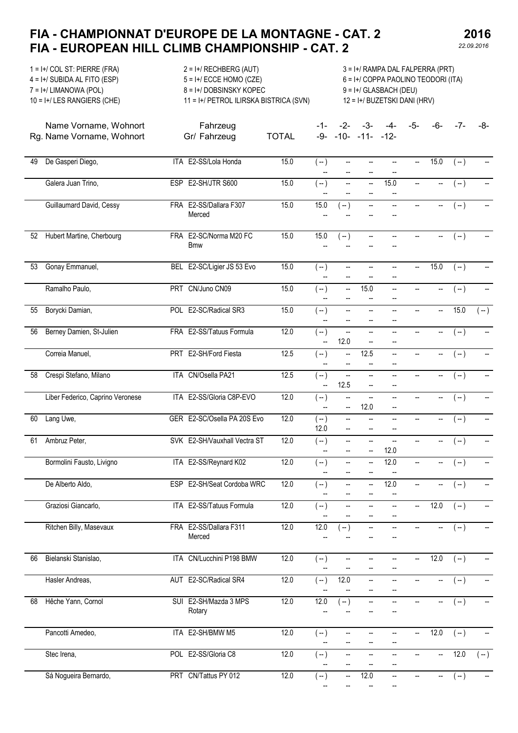Fahrzeug

2016

1 = I+/ COL ST: PIERRE (FRA) 2 = I+/ RECHBERG (AUT) 3 = I+/ RAMPA DAL FALPERRA (PRT) 4 = I+/ SUBIDA AL FITO (ESP) 5 = I+/ ECCE HOMO (CZE) 6 = I+/ COPPA PAOLINO TEODORI (ITA) 7 = I+/ LIMANOWA (POL) 8 = I+/ DOBSINSKY KOPEC 9 = I+/ GLASBACH (DEU) 10 = I+/ LES RANGIERS (CHE) 11 = I+/ PETROL ILIRSKA BISTRICA (SVN) 12 = I+/ BUZETSKI DANI (HRV)

Name Vorname, Wohnort Rg. Name Vorname, Wohnort Gr/ Fahrzeug TOTAL

-1- -2- -3- -4- -5- -6- -7- -8- -9- -10- -11- -12-

| 49 | De Gasperi Diego,                | ITA E2-SS/Lola Honda                 | 15.0 | ( -- )<br>Щ,                      | --<br>$\overline{\phantom{a}}$ | --<br>Щ,                       | Щ,<br>Щ,                                             | $\overline{\phantom{a}}$ | 15.0                     | $(-)$             |                          |
|----|----------------------------------|--------------------------------------|------|-----------------------------------|--------------------------------|--------------------------------|------------------------------------------------------|--------------------------|--------------------------|-------------------|--------------------------|
|    | Galera Juan Trino,               | ESP E2-SH/JTR S600                   | 15.0 | $(-)$<br>--                       | -−<br>$-$                      | Щ.<br>--                       | 15.0<br>--                                           | $\overline{\phantom{a}}$ | $\overline{\phantom{a}}$ | $(-)$             |                          |
|    | Guillaumard David, Cessy         | FRA E2-SS/Dallara F307<br>Merced     | 15.0 | 15.0<br>$\overline{\phantom{a}}$  | $\left( -\right)$              | $\overline{\phantom{a}}$       | --                                                   | $\overline{\phantom{a}}$ | $\overline{\phantom{a}}$ | $(-)$             |                          |
| 52 | Hubert Martine, Cherbourg        | FRA E2-SC/Norma M20 FC<br><b>Bmw</b> | 15.0 | 15.0                              | $(-)$                          | $\overline{\phantom{a}}$       | --                                                   |                          | $\overline{\phantom{a}}$ | $(-)$             |                          |
| 53 | Gonay Emmanuel,                  | BEL E2-SC/Ligier JS 53 Evo           | 15.0 | $(-)$<br>--                       | --<br>$-$                      | -−<br>-−                       | --<br>--                                             | $\overline{\phantom{a}}$ | 15.0                     | $(-)$             |                          |
|    | Ramalho Paulo,                   | PRT CN/Juno CN09                     | 15.0 | $(-)$                             | $\overline{\phantom{a}}$       | 15.0<br>Щ,                     | Щ.<br>--                                             | $\overline{\phantom{a}}$ | $\overline{\phantom{a}}$ | $(-)$             |                          |
| 55 | Borycki Damian,                  | POL E2-SC/Radical SR3                | 15.0 | $(-)$<br>--                       | Щ,                             | Щ,<br>-−                       | Щ,<br>--                                             | $\overline{\phantom{a}}$ | Ξ.                       | 15.0              | $(-)$                    |
| 56 | Berney Damien, St-Julien         | FRA E2-SS/Tatuus Formula             | 12.0 | $(-)$<br>$\overline{\phantom{a}}$ | --<br>12.0                     | $\overline{\phantom{a}}$<br>Щ, | $\overline{\phantom{a}}$<br>--                       | $\overline{\phantom{a}}$ | $\overline{\phantom{a}}$ | $(-)$             |                          |
|    | Correia Manuel,                  | PRT E2-SH/Ford Fiesta                | 12.5 | $(-)$<br>--                       | --                             | 12.5                           | Щ.<br>--                                             | $\overline{\phantom{a}}$ | $\overline{\phantom{a}}$ | $(-)$             |                          |
| 58 | Crespi Stefano, Milano           | ITA CN/Osella PA21                   | 12.5 | $(-)$<br>$\overline{\phantom{a}}$ | -−<br>12.5                     | --<br>--                       | --<br>--                                             | $\overline{\phantom{a}}$ | $\overline{\phantom{a}}$ | $(-)$             |                          |
|    | Liber Federico, Caprino Veronese | ITA E2-SS/Gloria C8P-EVO             | 12.0 | ( -- )<br>Щ,                      | --<br>--                       | Щ.<br>12.0                     | $\overline{\phantom{a}}$<br>$\overline{\phantom{a}}$ | $\overline{\phantom{a}}$ | --                       | $(-)$             |                          |
| 60 | Lang Uwe,                        | GER E2-SC/Osella PA 20S Evo          | 12.0 | $(-)$<br>12.0                     | $\overline{\phantom{a}}$       | --                             | --<br>--                                             |                          | --                       | $(-)$             |                          |
| 61 | Ambruz Peter,                    | SVK E2-SH/Vauxhall Vectra ST         | 12.0 | $(-)$<br>$\overline{a}$           | $\overline{\phantom{a}}$       | --<br>Щ,                       | Щ,<br>12.0                                           | $\overline{\phantom{a}}$ | --                       | $(-)$             |                          |
|    | Bormolini Fausto, Livigno        | ITA E2-SS/Reynard K02                | 12.0 | $(-)$<br>$\overline{\phantom{a}}$ | --<br>$-$                      | $\overline{\phantom{a}}$       | 12.0                                                 | $\overline{\phantom{a}}$ | $\overline{\phantom{a}}$ | $(-)$             | $\overline{\phantom{a}}$ |
|    | De Alberto Aldo,                 | ESP E2-SH/Seat Cordoba WRC           | 12.0 | $(-)$<br>$\overline{\phantom{a}}$ | -−<br>$\overline{\phantom{a}}$ | --<br>--                       | 12.0<br>$\overline{\phantom{a}}$                     | $\overline{\phantom{a}}$ | $\overline{\phantom{a}}$ | $(-)$             | $\ddot{\phantom{a}}$     |
|    | Graziosi Giancarlo,              | ITA E2-SS/Tatuus Formula             | 12.0 | $(-)$<br>$\overline{\phantom{a}}$ | Щ,<br>$- -$                    | --<br>--                       | Ц.<br>$\overline{\phantom{a}}$                       | ÷.                       | 12.0                     | $(-)$             | Щ.                       |
|    | Ritchen Billy, Masevaux          | FRA E2-SS/Dallara F311<br>Merced     | 12.0 | 12.0<br>Ξ.                        | $\left( -\right)$              | --                             | --                                                   |                          | --                       | $\left( -\right)$ |                          |
| 66 | Bielanski Stanislao,             | ITA CN/Lucchini P198 BMW             | 12.0 | ( -- )                            | $\overline{\phantom{a}}$       | --                             | Щ.                                                   | $\overline{\phantom{a}}$ | 12.0                     | $(-)$             | $\overline{\phantom{a}}$ |
|    | Hasler Andreas,                  | AUT E2-SC/Radical SR4                | 12.0 | ( -- )<br>--                      | 12.0                           | $\overline{\phantom{a}}$<br>-- | --<br>--                                             |                          | --                       | $(-)$             | --                       |
| 68 | Hêche Yann, Cornol               | SUI E2-SH/Mazda 3 MPS<br>Rotary      | 12.0 | 12.0                              | $(-)$                          | --                             | --                                                   |                          | --                       | $(-)$             |                          |
|    | Pancotti Amedeo,                 | ITA E2-SH/BMW M5                     | 12.0 | $(-)$                             | --                             | --<br>--                       | --<br>--                                             | --                       | 12.0                     | $(-)$             |                          |
|    | Stec Irena,                      | POL E2-SS/Gloria C8                  | 12.0 | $(-)$                             | --                             | --                             | --<br>--                                             |                          | --                       | 12.0              | $\left( -\right)$        |
|    | Sá Nogueira Bernardo,            | PRT CN/Tattus PY 012                 | 12.0 | $(-)$                             | --                             | 12.0                           | $\overline{\phantom{a}}$                             |                          | --                       | $(-)$             |                          |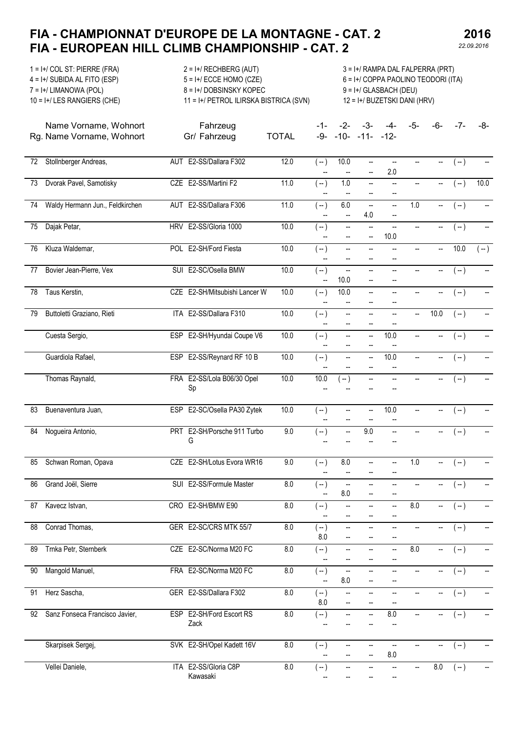Fahrzeug

2016

1 = I+/ COL ST: PIERRE (FRA) 2 = I+/ RECHBERG (AUT) 3 = I+/ RAMPA DAL FALPERRA (PRT) 4 = I+/ SUBIDA AL FITO (ESP) 5 = I+/ ECCE HOMO (CZE) 6 = I+/ COPPA PAOLINO TEODORI (ITA) 7 = I+/ LIMANOWA (POL) 8 = I+/ DOBSINSKY KOPEC 9 = I+/ GLASBACH (DEU)

10 = I+/ LES RANGIERS (CHE) 11 = I+/ PETROL ILIRSKA BISTRICA (SVN) 12 = I+/ BUZETSKI DANI (HRV)

-1- -2- -3- -4- -5- -6- -7- -8-

-9- -10- -11- -12-

Name Vorname, Wohnort Rg. Name Vorname, Wohnort Gr/ Fahrzeug TOTAL

| 72              | Stollnberger Andreas,           |     | AUT E2-SS/Dallara F302           | 12.0    | $(-)$                             | 10.0                                                 | -−                             | Щ,<br>2.0                                     |                          | $\overline{\phantom{a}}$ | $(-)$            | --    |
|-----------------|---------------------------------|-----|----------------------------------|---------|-----------------------------------|------------------------------------------------------|--------------------------------|-----------------------------------------------|--------------------------|--------------------------|------------------|-------|
| $\overline{73}$ | Dvorak Pavel, Samotisky         |     | CZE E2-SS/Martini F2             | 11.0    | $(-)$                             | 1.0                                                  | Щ,                             |                                               |                          |                          | $(-)$            | 10.0  |
| $\overline{74}$ | Waldy Hermann Jun., Feldkirchen |     | AUT E2-SS/Dallara F306           | 11.0    | $(-)$<br>Щ,                       | 6.0<br>$\overline{\phantom{a}}$                      | $\frac{1}{2}$<br>4.0           | --<br>--                                      | 1.0                      | $\overline{\phantom{a}}$ | $(-)$            | --    |
| $\overline{75}$ | Dajak Petar,                    |     | HRV E2-SS/Gloria 1000            | 10.0    | $(-)$<br>--                       | $\overline{\phantom{a}}$<br>--                       | $\overline{\phantom{a}}$<br>-- | $\qquad \qquad \cdots$<br>10.0                | $\overline{\phantom{a}}$ | --                       | $(-)$            | --    |
| $\overline{76}$ | Kluza Waldemar,                 |     | POL E2-SH/Ford Fiesta            | 10.0    | $(-)$<br>--                       | $\qquad \qquad -$<br>--                              | --<br>--                       | $\overline{\phantom{a}}$                      | --                       | $\overline{\phantom{a}}$ | 10.0             | $(-)$ |
| 77              | Bovier Jean-Pierre, Vex         |     | SUI E2-SC/Osella BMW             | 10.0    | $(-)$<br>--                       | ÷.<br>10.0                                           | Щ,<br>--                       | Щ.<br>--                                      | --                       | --                       | $(-)$            | --    |
| 78              | Taus Kerstin,                   |     | CZE E2-SH/Mitsubishi Lancer W    | 10.0    | $(-)$<br>--                       | 10.0<br>--                                           | --<br>--                       | --<br>$\overline{\phantom{a}}$                |                          |                          | $(-)$            | --    |
| $\overline{79}$ | Buttoletti Graziano, Rieti      |     | ITA E2-SS/Dallara F310           | 10.0    | $(-)$<br>--                       | $\overline{\phantom{a}}$<br>$\overline{\phantom{a}}$ | --<br>--                       | --<br>--                                      | --                       | 10.0                     | $(-)$            | --    |
|                 | Cuesta Sergio,                  |     | ESP E2-SH/Hyundai Coupe V6       | 10.0    | $(-)$<br>$\overline{a}$           | $\overline{\phantom{a}}$<br>$\overline{a}$           | --                             | 10.0                                          |                          |                          | $(-)$            | --    |
|                 | Guardiola Rafael,               |     | ESP E2-SS/Reynard RF 10 B        | 10.0    | $(-)$                             | --                                                   |                                | 10.0                                          | --                       | --                       | $(-)$            | --    |
|                 | Thomas Raynald,                 |     | FRA E2-SS/Lola B06/30 Opel<br>Sp | 10.0    | 10.0                              | $\left( -\right)$                                    | --                             | $\overline{\phantom{a}}$                      | $\overline{\phantom{a}}$ | $\overline{\phantom{a}}$ | $(-)$            | --    |
| 83              | Buenaventura Juan,              |     | ESP E2-SC/Osella PA30 Zytek      | 10.0    | $(-)$                             | $\overline{\phantom{a}}$                             | --                             | 10.0                                          |                          | $\overline{\phantom{a}}$ | $(-)$            |       |
| 84              | Nogueira Antonio,               |     | PRT E2-SH/Porsche 911 Turbo<br>G | $9.0\,$ | $(-)$                             | -−                                                   | 9.0                            | $\frac{1}{2}$                                 | --                       | --                       | $(-)$            | --    |
| 85              | Schwan Roman, Opava             |     | CZE E2-SH/Lotus Evora WR16       | 9.0     | $(-)$<br>--                       | 8.0<br>--                                            | --<br>--                       | $\overline{a}$<br>--                          | 1.0                      | $\overline{\phantom{a}}$ | $(-)$            | --    |
| 86              | Grand Joël, Sierre              |     | SUI E2-SS/Formule Master         | 8.0     | $(-)$<br>$\overline{\phantom{a}}$ | $\overline{\phantom{a}}$<br>8.0                      | --<br>$\overline{a}$           | $\qquad \qquad -$<br>$\overline{\phantom{a}}$ | $\qquad \qquad \cdots$   | --                       | $(-)$            | --    |
| 87              | Kavecz Istvan,                  |     | CRO E2-SH/BMW E90                | 8.0     | $(-)$                             | --<br>$\qquad \qquad -$                              | --                             | --                                            | 8.0                      | --                       | $(-)$            | --    |
| 88              | Conrad Thomas,                  |     | GER E2-SC/CRS MTK 55/7           | 8.0     | $(-)$<br>8.0                      |                                                      |                                |                                               |                          |                          | $(-)$            | --    |
|                 | 89 Trnka Petr, Sternberk        |     | CZE E2-SC/Norma M20 FC           | 8.0     | $(\ -)$                           | --                                                   | --<br>-−                       |                                               | 8.0                      |                          | $\overline{(-)}$ |       |
| 90              | Mangold Manuel,                 |     | FRA E2-SC/Norma M20 FC           | $8.0\,$ | $(-)$<br>--                       | $\overline{\phantom{a}}$<br>$8.0\,$                  | --<br>-−                       | --                                            |                          |                          | $(-)$            | --    |
| 91              | Herz Sascha,                    |     | GER E2-SS/Dallara F302           | $8.0\,$ | $(-)$<br>8.0                      | --<br>-−                                             | --                             | $\qquad \qquad -$                             |                          | $\overline{\phantom{a}}$ | $(-)$            | --    |
| 92              | Sanz Fonseca Francisco Javier,  |     | ESP E2-SH/Ford Escort RS<br>Zack | $8.0\,$ | $(-)$                             | --                                                   | --                             | 8.0                                           | --                       | --                       | $(-)$            | --    |
|                 | Skarpisek Sergej,               |     | SVK E2-SH/Opel Kadett 16V        | $8.0\,$ | $(-)$                             | --<br>--                                             | --<br>--                       | $\qquad \qquad \cdots$<br>8.0                 |                          | --                       | $(-)$            | --    |
|                 | Vellei Daniele,                 | ITA | E2-SS/Gloria C8P<br>Kawasaki     | 8.0     | $(-)$                             | --                                                   | --                             | --                                            | --                       | $8.0\,$                  | $(-)$            | --    |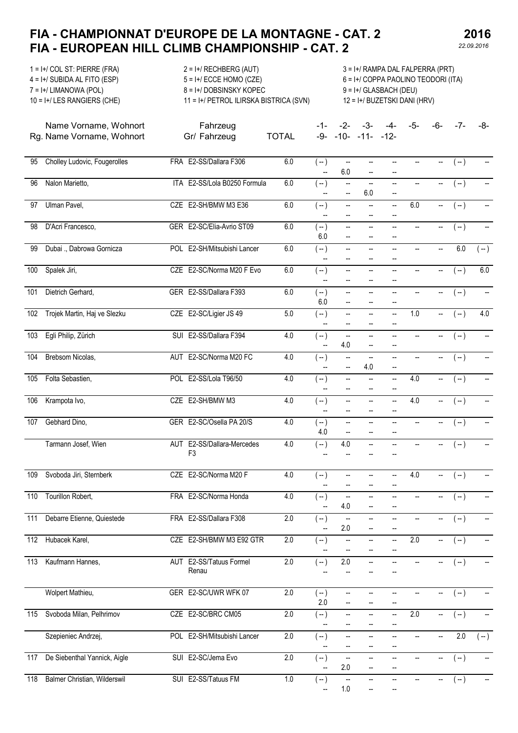Fahrzeug

1 = I+/ COL ST: PIERRE (FRA) 2 = I+/ RECHBERG (AUT) 3 = I+/ RAMPA DAL FALPERRA (PRT) 4 = I+/ SUBIDA AL FITO (ESP) 5 = I+/ ECCE HOMO (CZE) 6 = I+/ COPPA PAOLINO TEODORI (ITA) 7 = I+/ LIMANOWA (POL) 8 = I+/ DOBSINSKY KOPEC 9 = I+/ GLASBACH (DEU) 10 = I+/ LES RANGIERS (CHE) 11 = I+/ PETROL ILIRSKA BISTRICA (SVN) 12 = I+/ BUZETSKI DANI (HRV)

Name Vorname, Wohnort Rg. Name Vorname, Wohnort Gr/ Fahrzeug TOTAL -1- -2- -3- -4- -5- -6- -7- -8- -9- -10- -11- -12-

| 95  | Cholley Ludovic, Fougerolles        | FRA E2-SS/Dallara F306                       | $6.0\,$ | $(-)$<br>--  | --<br>6.0                                            | $\overline{a}$<br>--                                 |                                            |                          |                          | $(-)$            |                          |
|-----|-------------------------------------|----------------------------------------------|---------|--------------|------------------------------------------------------|------------------------------------------------------|--------------------------------------------|--------------------------|--------------------------|------------------|--------------------------|
| 96  | Nalon Marietto,                     | ITA E2-SS/Lola B0250 Formula                 | 6.0     | $(-)$        | --                                                   | --<br>6.0                                            | $\overline{a}$<br>--                       | --                       | --                       | $(-)$            |                          |
| 97  | Ulman Pavel,                        | CZE E2-SH/BMW M3 E36                         | 6.0     | $(-)$        | $\overline{\phantom{a}}$<br>--                       | $\overline{\phantom{a}}$<br>$-$                      | ÷.                                         | 6.0                      | --                       | $(-)$            | $\overline{\phantom{a}}$ |
| 98  | D'Acri Francesco,                   | GER E2-SC/Elia-Avrio ST09                    | $6.0\,$ | $(-)$<br>6.0 | $\overline{\phantom{a}}$<br>$-$                      | --                                                   | $\overline{\phantom{a}}$                   | $\overline{\phantom{a}}$ | --                       | $(-)$            | $\overline{\phantom{a}}$ |
| 99  | Dubai ., Dabrowa Gornicza           | POL E2-SH/Mitsubishi Lancer                  | 6.0     | $(-)$<br>--  | --<br>$\overline{\phantom{a}}$                       | --<br>$\overline{\phantom{a}}$                       | --<br>$\overline{\phantom{a}}$             | $\overline{\phantom{a}}$ | $\frac{1}{2}$            | 6.0              | $(-)$                    |
| 100 | Spalek Jiri,                        | CZE E2-SC/Norma M20 F Evo                    | 6.0     | $(-)$<br>--  | $\overline{\phantom{a}}$<br>--                       | $\overline{\phantom{a}}$<br>$\overline{\phantom{a}}$ | --<br>$\overline{\phantom{a}}$             | $\overline{\phantom{a}}$ | --                       | $(-)$            | 6.0                      |
| 101 | Dietrich Gerhard,                   | GER E2-SS/Dallara F393                       | 6.0     | $(-)$<br>6.0 | $\overline{\phantom{a}}$<br>$\overline{\phantom{a}}$ | Щ.<br>$\overline{\phantom{a}}$                       | Щ.<br>$\overline{\phantom{a}}$             | --                       | $\overline{\phantom{a}}$ | $(-)$            |                          |
| 102 | Trojek Martin, Haj ve Slezku        | CZE E2-SC/Ligier JS 49                       | 5.0     | $(-)$<br>--  | $\overline{\phantom{a}}$<br>--                       | Щ,<br>Щ,                                             | Щ,<br>--                                   | 1.0                      | --                       | $(-)$            | 4.0                      |
| 103 | Egli Philip, Zürich                 | SUI E2-SS/Dallara F394                       | 4.0     | $(-)$        | $\overline{\phantom{a}}$<br>4.0                      | --                                                   | --<br>--                                   | --                       | --                       | $(-)$            |                          |
| 104 | Brebsom Nicolas,                    | AUT E2-SC/Norma M20 FC                       | 4.0     | $(-)$<br>--  | $\overline{\phantom{a}}$<br>$\overline{\phantom{a}}$ | $\overline{a}$<br>4.0                                | $\qquad \qquad -$<br>$\qquad \qquad -$     | $\qquad \qquad -$        | --                       | $(-)$            |                          |
| 105 | Folta Sebastien,                    | POL E2-SS/Lola T96/50                        | 4.0     | $(-)$<br>--  | $\overline{a}$                                       | $\overline{\phantom{a}}$<br>--                       | Щ,<br>--                                   | 4.0                      | Щ.                       | $(-)$            |                          |
| 106 | Krampota Ivo,                       | CZE E2-SH/BMW M3                             | 4.0     | $(-)$        | $\overline{\phantom{a}}$<br>--                       | ÷.<br>$\overline{\phantom{a}}$                       | $\overline{a}$<br>$\overline{\phantom{a}}$ | 4.0                      | Щ.                       | $(-)$            |                          |
| 107 | Gebhard Dino,                       | GER E2-SC/Osella PA 20/S                     | 4.0     | $(-)$<br>4.0 | $\overline{\phantom{a}}$<br>$\overline{a}$           | $\overline{\phantom{a}}$<br>$\qquad \qquad -$        | --<br>$\qquad \qquad -$                    | $\overline{\phantom{a}}$ | --                       | $(-)$            |                          |
|     | Tarmann Josef, Wien                 | AUT E2-SS/Dallara-Mercedes<br>F <sub>3</sub> | 4.0     | $(-)$        | 4.0                                                  |                                                      |                                            |                          | --                       | $(-)$            |                          |
| 109 | Svoboda Jiri, Sternberk             | CZE E2-SC/Norma M20 F                        | 4.0     | $(-)$<br>--  | $\overline{\phantom{a}}$<br>$\overline{a}$           | --<br>$\overline{\phantom{a}}$                       | --<br>--                                   | 4.0                      | $\overline{\phantom{a}}$ | $(-)$            |                          |
| 110 | Tourillon Robert,                   | FRA E2-SC/Norma Honda                        | 4.0     | $(-)$<br>Щ,  | $\overline{\phantom{a}}$<br>4.0                      | $\overline{a}$                                       | $\overline{a}$                             | $\overline{\phantom{a}}$ | $\overline{\phantom{a}}$ | $(-)$            |                          |
| 111 | Debarre Etienne, Quiestede          | FRA E2-SS/Dallara F308                       | 2.0     | $(-)$<br>Щ,  | $\overline{\phantom{a}}$<br>2.0                      | $\overline{a}$<br>$\overline{\phantom{a}}$           | $\overline{\phantom{a}}$                   | --                       | --                       | $(-)$            |                          |
|     | 112 Hubacek Karel,                  | CZE E2-SH/BMW M3 E92 GTR                     | 2.0     | $(-)$<br>−−  | $\overline{\phantom{a}}$                             | --                                                   | --                                         | $\overline{2.0}$         | --                       | $(-)$            | --                       |
| 113 | Kaufmann Hannes,                    | AUT E2-SS/Tatuus Formel<br>Renau             | 2.0     | ( -- )       | 2.0                                                  |                                                      |                                            |                          | --                       | $(-)$            |                          |
|     | Wolpert Mathieu,                    | GER E2-SC/UWR WFK 07                         | 2.0     | $(-)$<br>2.0 | $\overline{\phantom{a}}$                             | $\overline{\phantom{a}}$                             |                                            |                          | ۰.                       | $(-)$            |                          |
| 115 | Svoboda Milan, Pelhrimov            | CZE E2-SC/BRC CM05                           | $2.0\,$ | $(-)$        | $\overline{\phantom{a}}$                             | --<br>$\overline{\phantom{a}}$                       | --<br>$\overline{\phantom{a}}$             | 2.0                      | --                       | $(-)$            |                          |
|     | Szepieniec Andrzej,                 | POL E2-SH/Mitsubishi Lancer                  | 2.0     | $(-)$        | $\overline{\phantom{a}}$                             | --                                                   | --                                         | $\overline{\phantom{a}}$ | $\overline{\phantom{a}}$ | $\overline{2.0}$ | $(-)$                    |
| 117 | De Siebenthal Yannick, Aigle        | SUI E2-SC/Jema Evo                           | $2.0\,$ | $(-)$        | --<br>2.0                                            | $\overline{\phantom{a}}$                             | $\overline{\phantom{a}}$                   |                          |                          | $(-)$            |                          |
| 118 | <b>Balmer Christian, Wilderswil</b> | SUI E2-SS/Tatuus FM                          | $1.0\,$ | ั -- )       | $\overline{\phantom{a}}$<br>1.0                      |                                                      |                                            |                          |                          | $(-)$            |                          |